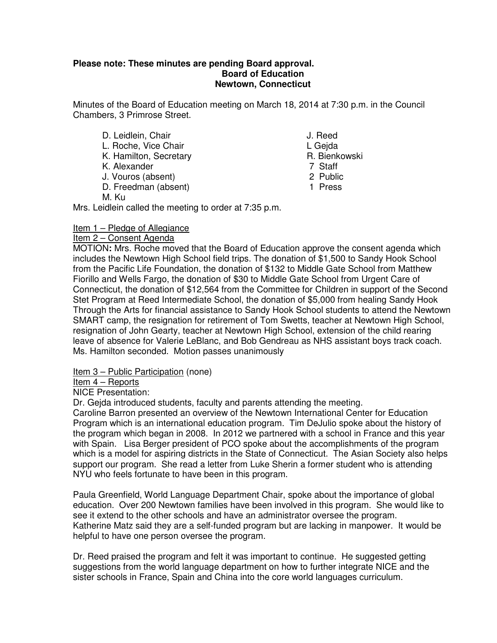## **Please note: These minutes are pending Board approval. Board of Education Newtown, Connecticut**

Minutes of the Board of Education meeting on March 18, 2014 at 7:30 p.m. in the Council Chambers, 3 Primrose Street.

- D. Leidlein, Chair **J. Reed** L. Roche, Vice Chair **L. Gegame** L. Geida K. Hamilton, Secretary **R. Bienkowski** K. Alexander 7 Staff<br>
J. Vouros (absent) 2 Public J. Vouros (absent) D. Freedman (absent) 1 Press M. Ku
	- - -
		-
		-

Mrs. Leidlein called the meeting to order at 7:35 p.m.

# Item 1 – Pledge of Allegiance

## Item 2 – Consent Agenda

MOTION**:** Mrs. Roche moved that the Board of Education approve the consent agenda which includes the Newtown High School field trips. The donation of \$1,500 to Sandy Hook School from the Pacific Life Foundation, the donation of \$132 to Middle Gate School from Matthew Fiorillo and Wells Fargo, the donation of \$30 to Middle Gate School from Urgent Care of Connecticut, the donation of \$12,564 from the Committee for Children in support of the Second Stet Program at Reed Intermediate School, the donation of \$5,000 from healing Sandy Hook Through the Arts for financial assistance to Sandy Hook School students to attend the Newtown SMART camp, the resignation for retirement of Tom Swetts, teacher at Newtown High School, resignation of John Gearty, teacher at Newtown High School, extension of the child rearing leave of absence for Valerie LeBlanc, and Bob Gendreau as NHS assistant boys track coach. Ms. Hamilton seconded. Motion passes unanimously

Item 3 – Public Participation (none)

Item 4 – Reports

NICE Presentation:

Dr. Gejda introduced students, faculty and parents attending the meeting.

Caroline Barron presented an overview of the Newtown International Center for Education Program which is an international education program. Tim DeJulio spoke about the history of the program which began in 2008. In 2012 we partnered with a school in France and this year with Spain. Lisa Berger president of PCO spoke about the accomplishments of the program which is a model for aspiring districts in the State of Connecticut. The Asian Society also helps support our program. She read a letter from Luke Sherin a former student who is attending NYU who feels fortunate to have been in this program.

Paula Greenfield, World Language Department Chair, spoke about the importance of global education. Over 200 Newtown families have been involved in this program. She would like to see it extend to the other schools and have an administrator oversee the program. Katherine Matz said they are a self-funded program but are lacking in manpower. It would be helpful to have one person oversee the program.

Dr. Reed praised the program and felt it was important to continue. He suggested getting suggestions from the world language department on how to further integrate NICE and the sister schools in France, Spain and China into the core world languages curriculum.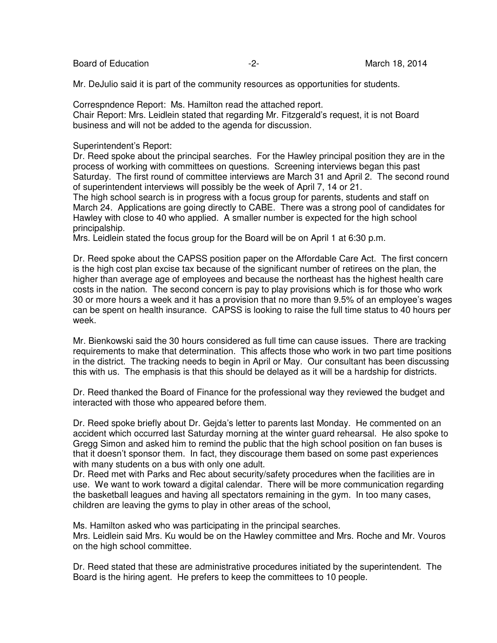Board of Education  $\overline{2}$ -<br>Board of Education  $\overline{2}$ -<br>Board of Education  $\overline{2}$ -

Mr. DeJulio said it is part of the community resources as opportunities for students.

Correspndence Report: Ms. Hamilton read the attached report. Chair Report: Mrs. Leidlein stated that regarding Mr. Fitzgerald's request, it is not Board business and will not be added to the agenda for discussion.

Superintendent's Report:

Dr. Reed spoke about the principal searches. For the Hawley principal position they are in the process of working with committees on questions. Screening interviews began this past Saturday. The first round of committee interviews are March 31 and April 2. The second round of superintendent interviews will possibly be the week of April 7, 14 or 21.

The high school search is in progress with a focus group for parents, students and staff on March 24. Applications are going directly to CABE. There was a strong pool of candidates for Hawley with close to 40 who applied. A smaller number is expected for the high school principalship.

Mrs. Leidlein stated the focus group for the Board will be on April 1 at 6:30 p.m.

Dr. Reed spoke about the CAPSS position paper on the Affordable Care Act. The first concern is the high cost plan excise tax because of the significant number of retirees on the plan, the higher than average age of employees and because the northeast has the highest health care costs in the nation. The second concern is pay to play provisions which is for those who work 30 or more hours a week and it has a provision that no more than 9.5% of an employee's wages can be spent on health insurance. CAPSS is looking to raise the full time status to 40 hours per week.

Mr. Bienkowski said the 30 hours considered as full time can cause issues. There are tracking requirements to make that determination. This affects those who work in two part time positions in the district. The tracking needs to begin in April or May. Our consultant has been discussing this with us. The emphasis is that this should be delayed as it will be a hardship for districts.

Dr. Reed thanked the Board of Finance for the professional way they reviewed the budget and interacted with those who appeared before them.

Dr. Reed spoke briefly about Dr. Gejda's letter to parents last Monday. He commented on an accident which occurred last Saturday morning at the winter guard rehearsal. He also spoke to Gregg Simon and asked him to remind the public that the high school position on fan buses is that it doesn't sponsor them. In fact, they discourage them based on some past experiences with many students on a bus with only one adult.

Dr. Reed met with Parks and Rec about security/safety procedures when the facilities are in use. We want to work toward a digital calendar. There will be more communication regarding the basketball leagues and having all spectators remaining in the gym. In too many cases, children are leaving the gyms to play in other areas of the school,

Ms. Hamilton asked who was participating in the principal searches. Mrs. Leidlein said Mrs. Ku would be on the Hawley committee and Mrs. Roche and Mr. Vouros on the high school committee.

Dr. Reed stated that these are administrative procedures initiated by the superintendent. The Board is the hiring agent. He prefers to keep the committees to 10 people.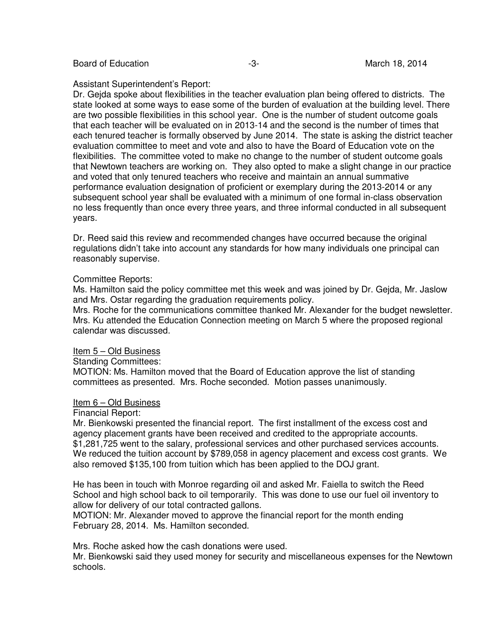Board of Education  $-3 -3-$  March 18, 2014

Assistant Superintendent's Report:

Dr. Gejda spoke about flexibilities in the teacher evaluation plan being offered to districts. The state looked at some ways to ease some of the burden of evaluation at the building level. There are two possible flexibilities in this school year. One is the number of student outcome goals that each teacher will be evaluated on in 2013-14 and the second is the number of times that each tenured teacher is formally observed by June 2014. The state is asking the district teacher evaluation committee to meet and vote and also to have the Board of Education vote on the flexibilities. The committee voted to make no change to the number of student outcome goals that Newtown teachers are working on. They also opted to make a slight change in our practice and voted that only tenured teachers who receive and maintain an annual summative performance evaluation designation of proficient or exemplary during the 2013-2014 or any subsequent school year shall be evaluated with a minimum of one formal in-class observation no less frequently than once every three years, and three informal conducted in all subsequent years.

Dr. Reed said this review and recommended changes have occurred because the original regulations didn't take into account any standards for how many individuals one principal can reasonably supervise.

## Committee Reports:

Ms. Hamilton said the policy committee met this week and was joined by Dr. Gejda, Mr. Jaslow and Mrs. Ostar regarding the graduation requirements policy.

Mrs. Roche for the communications committee thanked Mr. Alexander for the budget newsletter. Mrs. Ku attended the Education Connection meeting on March 5 where the proposed regional calendar was discussed.

## Item 5 – Old Business

#### Standing Committees:

MOTION: Ms. Hamilton moved that the Board of Education approve the list of standing committees as presented. Mrs. Roche seconded. Motion passes unanimously.

## Item 6 – Old Business

#### Financial Report:

Mr. Bienkowski presented the financial report. The first installment of the excess cost and agency placement grants have been received and credited to the appropriate accounts. \$1,281,725 went to the salary, professional services and other purchased services accounts. We reduced the tuition account by \$789,058 in agency placement and excess cost grants. We also removed \$135,100 from tuition which has been applied to the DOJ grant.

He has been in touch with Monroe regarding oil and asked Mr. Faiella to switch the Reed School and high school back to oil temporarily. This was done to use our fuel oil inventory to allow for delivery of our total contracted gallons.

MOTION: Mr. Alexander moved to approve the financial report for the month ending February 28, 2014. Ms. Hamilton seconded.

Mrs. Roche asked how the cash donations were used.

Mr. Bienkowski said they used money for security and miscellaneous expenses for the Newtown schools.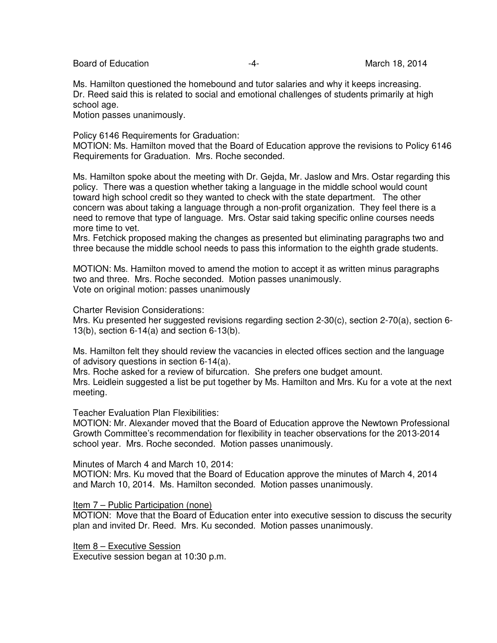Board of Education  $\overline{a}$  -4- The March 18, 2014

Ms. Hamilton questioned the homebound and tutor salaries and why it keeps increasing. Dr. Reed said this is related to social and emotional challenges of students primarily at high school age.

Motion passes unanimously.

Policy 6146 Requirements for Graduation:

MOTION: Ms. Hamilton moved that the Board of Education approve the revisions to Policy 6146 Requirements for Graduation. Mrs. Roche seconded.

Ms. Hamilton spoke about the meeting with Dr. Gejda, Mr. Jaslow and Mrs. Ostar regarding this policy. There was a question whether taking a language in the middle school would count toward high school credit so they wanted to check with the state department. The other concern was about taking a language through a non-profit organization. They feel there is a need to remove that type of language. Mrs. Ostar said taking specific online courses needs more time to vet.

Mrs. Fetchick proposed making the changes as presented but eliminating paragraphs two and three because the middle school needs to pass this information to the eighth grade students.

MOTION: Ms. Hamilton moved to amend the motion to accept it as written minus paragraphs two and three. Mrs. Roche seconded. Motion passes unanimously. Vote on original motion: passes unanimously

Charter Revision Considerations:

Mrs. Ku presented her suggested revisions regarding section 2-30(c), section 2-70(a), section 6- 13(b), section 6-14(a) and section 6-13(b).

Ms. Hamilton felt they should review the vacancies in elected offices section and the language of advisory questions in section 6-14(a).

Mrs. Roche asked for a review of bifurcation. She prefers one budget amount.

Mrs. Leidlein suggested a list be put together by Ms. Hamilton and Mrs. Ku for a vote at the next meeting.

Teacher Evaluation Plan Flexibilities:

MOTION: Mr. Alexander moved that the Board of Education approve the Newtown Professional Growth Committee's recommendation for flexibility in teacher observations for the 2013-2014 school year. Mrs. Roche seconded. Motion passes unanimously.

Minutes of March 4 and March 10, 2014:

MOTION: Mrs. Ku moved that the Board of Education approve the minutes of March 4, 2014 and March 10, 2014. Ms. Hamilton seconded. Motion passes unanimously.

#### Item 7 – Public Participation (none)

MOTION: Move that the Board of Education enter into executive session to discuss the security plan and invited Dr. Reed. Mrs. Ku seconded. Motion passes unanimously.

Item 8 – Executive Session Executive session began at 10:30 p.m.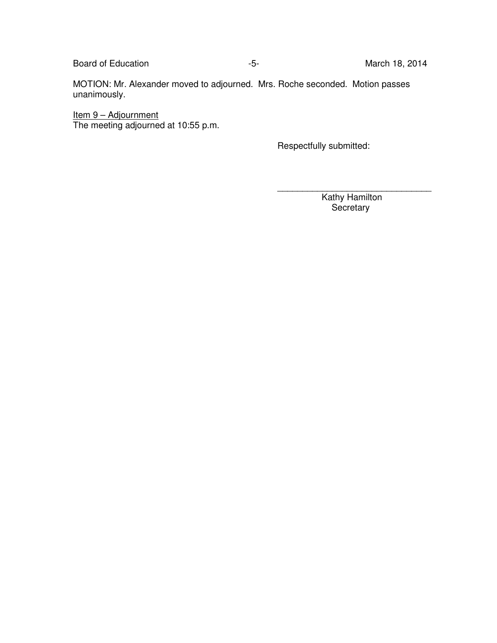Board of Education **Contract Contract Contract Contract Contract Contract Contract Contract Contract Contract Contract Contract Contract Contract Contract Contract Contract Contract Contract Contract Contract Contract Cont** 

MOTION: Mr. Alexander moved to adjourned. Mrs. Roche seconded. Motion passes unanimously.

**Item 9 – Adjournment** The meeting adjourned at 10:55 p.m.

Respectfully submitted:

 Kathy Hamilton **Secretary** 

\_\_\_\_\_\_\_\_\_\_\_\_\_\_\_\_\_\_\_\_\_\_\_\_\_\_\_\_\_\_\_